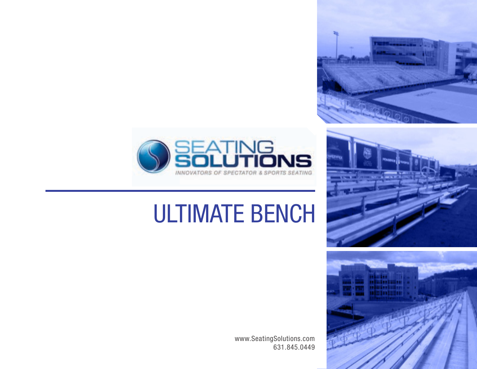



## ULTIMATE BENCH





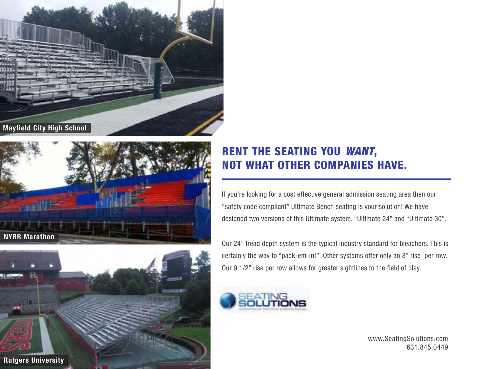





## RENT THE SEATING YOU *WANT*, NOT WHAT OTHER COMPANIES HAVE.

If you're looking for a cost effective general admission seating area then our "safety code compliant" Ultimate Bench seating is your solution! We have designed two versions of this Ultimate system, "Ultimate 24" and "Ultimate 30".

Our 24" tread depth system is the typical industry standard for bleachers. This is certainly the way to "pack-em-in!" Other systems offer only an 8" rise per row. Our 9 1/2" rise per row allows for greater sightlines to the field of play.



www.SeatingSolutions.com 631.845.0449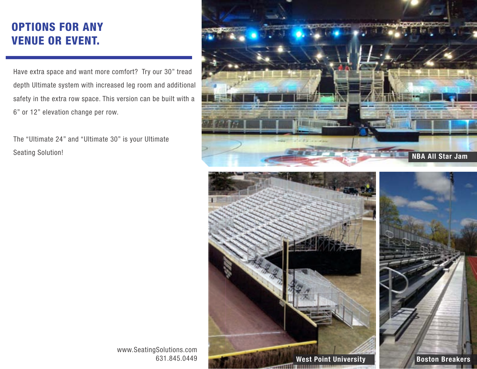## OPTIONS FOR ANY VENUE OR EVENT.

Have extra space and want more comfort? Try our 30" tread depth Ultimate system with increased leg room and additional safety in the extra row space. This version can be built with a 6" or 12" elevation change per row.

The "Ultimate 24" and "Ultimate 30" is your Ultimate Seating Solution!



www.SeatingSolutions.com 631.845.0449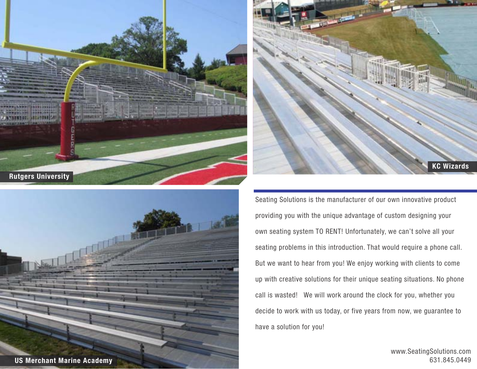





Seating Solutions is the manufacturer of our own innovative product providing you with the unique advantage of custom designing your own seating system TO RENT! Unfortunately, we can't solve all your seating problems in this introduction. That would require a phone call. But we want to hear from you! We enjoy working with clients to come up with creative solutions for their unique seating situations. No phone call is wasted! We will work around the clock for you, whether you decide to work with us today, or five years from now, we guarantee to have a solution for you!

> www.SeatingSolutions.com 631.845.0449